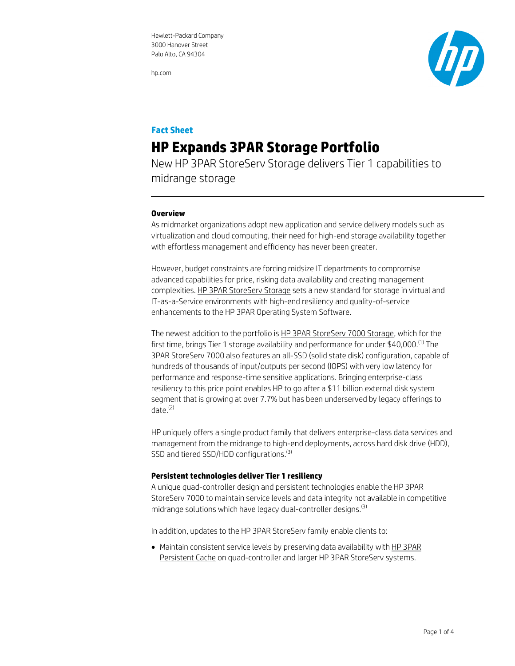hp.com



# **Fact Sheet HP Expands 3PAR Storage Portfolio**

New HP 3PAR StoreServ Storage delivers Tier 1 capabilities to midrange storage

## **Overview**

As midmarket organizations adopt new application and service delivery models such as virtualization and cloud computing, their need for high-end storage availability together with effortless management and efficiency has never been greater.

However, budget constraints are forcing midsize IT departments to compromise advanced capabilities for price, risking data availability and creating management complexities. HP 3PAR [StoreServ Storage](http://www8.hp.com/us/en/products/data-storage/data-storage-products.html?compURI=1225854) sets a new standard for storage in virtual and IT-as-a-Service environments with high-end resiliency and quality-of-service enhancements to the HP 3PAR Operating System Software.

The newest addition to the portfolio is [HP 3PAR StoreServ 7000 Storage,](http://www.hp.com/go/storeserv7000) which for the first time, brings Tier 1 storage availability and performance for under \$40,000. $^{\rm (1)}$  The 3PAR StoreServ 7000 also features an all-SSD (solid state disk) configuration, capable of hundreds of thousands of input/outputs per second (IOPS) with very low latency for performance and response-time sensitive applications. Bringing enterprise-class resiliency to this price point enables HP to go after a \$11 billion external disk system segment that is growing at over 7.7% but has been underserved by legacy offerings to  $date.<sup>(2)</sup>$ 

HP uniquely offers a single product family that delivers enterprise-class data services and management from the midrange to high-end deployments, across hard disk drive (HDD), SSD and tiered SSD/HDD configurations.<sup>(3)</sup>

## **Persistent technologies deliver Tier 1 resiliency**

A unique quad-controller design and persistent technologies enable the HP 3PAR StoreServ 7000 to maintain service levels and data integrity not available in competitive midrange solutions which have legacy dual-controller designs.<sup>(3)</sup>

In addition, updates to the HP 3PAR StoreServ family enable clients to:

 Maintain consistent service levels by preserving data availability wit[h HP 3PAR](http://h20195.www2.hp.com/v2/GetPDF.aspx/4AA2-9918ENW.pdf)  [Persistent Cache](http://h20195.www2.hp.com/v2/GetPDF.aspx/4AA2-9918ENW.pdf) on quad-controller and larger HP 3PAR StoreServ systems.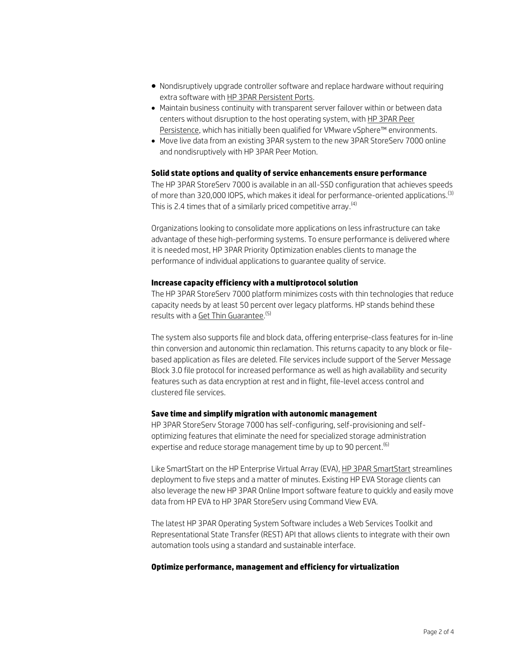- Nondisruptively upgrade controller software and replace hardware without requiring extra software wit[h HP 3PAR Persistent Ports.](http://h18006.www1.hp.com/storage/pdfs/4AA4-3465ENW.pdf)
- Maintain business continuity with transparent server failover within or between data centers without disruption to the host operating system, wit[h HP 3PAR Peer](http://h18006.www1.hp.com/storage/software/3par/pps/index.html)  [Persistence,](http://h18006.www1.hp.com/storage/software/3par/pps/index.html) which has initially been qualified for VMware vSphere™ environments.
- Move live data from an existing 3PAR system to the new 3PAR StoreServ 7000 online and nondisruptively with HP 3PAR Peer Motion.

## **Solid state options and quality of service enhancements ensure performance**

The HP 3PAR StoreServ 7000 is available in an all-SSD configuration that achieves speeds of more than 320,000 IOPS, which makes it ideal for performance-oriented applications.<sup>(3)</sup> This is 2.4 times that of a similarly priced competitive array.<sup>(4)</sup>

Organizations looking to consolidate more applications on less infrastructure can take advantage of these high-performing systems. To ensure performance is delivered where it is needed most, HP 3PAR Priority Optimization enables clients to manage the performance of individual applications to guarantee quality of service.

## **Increase capacity efficiency with a multiprotocol solution**

The HP 3PAR StoreServ 7000 platform minimizes costs with thin technologies that reduce capacity needs by at least 50 percent over legacy platforms. HP stands behind these results with a [Get Thin Guarantee.](http://www8.hp.com/us/en/products/data-storage/data-storage-products.html?compURI=1284392) (5)

The system also supports file and block data, offering enterprise-class features for in-line thin conversion and autonomic thin reclamation. This returns capacity to any block or filebased application as files are deleted. File services include support of the Server Message Block 3.0 file protocol for increased performance as well as high availability and security features such as data encryption at rest and in flight, file-level access control and clustered file services.

#### **Save time and simplify migration with autonomic management**

HP 3PAR StoreServ Storage 7000 has self-configuring, self-provisioning and selfoptimizing features that eliminate the need for specialized storage administration expertise and reduce storage management time by up to 90 percent. (6)

Like SmartStart on the HP Enterprise Virtual Array (EVA), [HP 3PAR SmartStart](http://h18006.www1.hp.com/storage/pdfs/4AA4-3465ENW.pdf) streamlines deployment to five steps and a matter of minutes. Existing HP EVA Storage clients can also leverage the new HP 3PAR Online Import software feature to quickly and easily move data from HP EVA to HP 3PAR StoreServ using Command View EVA.

The latest HP 3PAR Operating System Software includes a Web Services Toolkit and Representational State Transfer (REST) API that allows clients to integrate with their own automation tools using a standard and sustainable interface.

#### **Optimize performance, management and efficiency for virtualization**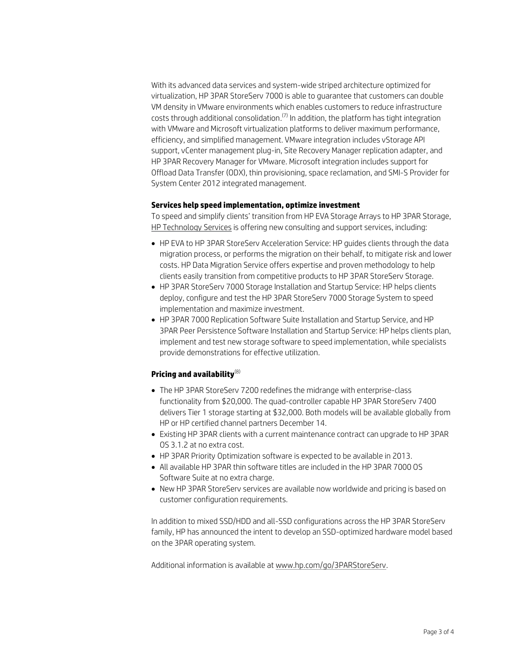With its advanced data services and system-wide striped architecture optimized for virtualization, HP 3PAR StoreServ 7000 is able to guarantee that customers can double VM density in VMware environments which enables customers to reduce infrastructure costs through additional consolidation. $^{(7)}$  In addition, the platform has tight integration with VMware and Microsoft virtualization platforms to deliver maximum performance, efficiency, and simplified management. VMware integration includes vStorage API support, vCenter management plug-in, Site Recovery Manager replication adapter, and HP 3PAR Recovery Manager for VMware. Microsoft integration includes support for Offload Data Transfer (ODX), thin provisioning, space reclamation, and SMI-S Provider for System Center 2012 integrated management.

## **Services help speed implementation, optimize investment**

To speed and simplify clients' transition from HP EVA Storage Arrays to HP 3PAR Storage, [HP Technology Services](http://www.hp.com/services/storage) is offering new consulting and support services, including:

- HP EVA to HP 3PAR StoreServ Acceleration Service: HP guides clients through the data migration process, or performs the migration on their behalf, to mitigate risk and lower costs. HP Data Migration Service offers expertise and proven methodology to help clients easily transition from competitive products to HP 3PAR StoreServ Storage.
- HP 3PAR StoreServ 7000 Storage Installation and Startup Service: HP helps clients deploy, configure and test the HP 3PAR StoreServ 7000 Storage System to speed implementation and maximize investment.
- HP 3PAR 7000 Replication Software Suite Installation and Startup Service, and HP 3PAR Peer Persistence Software Installation and Startup Service: HP helps clients plan, implement and test new storage software to speed implementation, while specialists provide demonstrations for effective utilization.

# **Pricing and availability**(8)

- The HP 3PAR StoreServ 7200 redefines the midrange with enterprise-class functionality from \$20,000. The quad-controller capable HP 3PAR StoreServ 7400 delivers Tier 1 storage starting at \$32,000. Both models will be available globally from HP or HP certified channel partners December 14.
- Existing HP 3PAR clients with a current maintenance contract can upgrade to HP 3PAR OS 3.1.2 at no extra cost.
- HP 3PAR Priority Optimization software is expected to be available in 2013.
- All available HP 3PAR thin software titles are included in the HP 3PAR 7000 OS Software Suite at no extra charge.
- New HP 3PAR StoreServ services are available now worldwide and pricing is based on customer configuration requirements.

In addition to mixed SSD/HDD and all-SSD configurations across the HP 3PAR StoreServ family, HP has announced the intent to develop an SSD-optimized hardware model based on the 3PAR operating system.

Additional information is available at [www.hp.com/go/3PARStoreServ.](http://www.hp.com/go/3PARStoreServ)